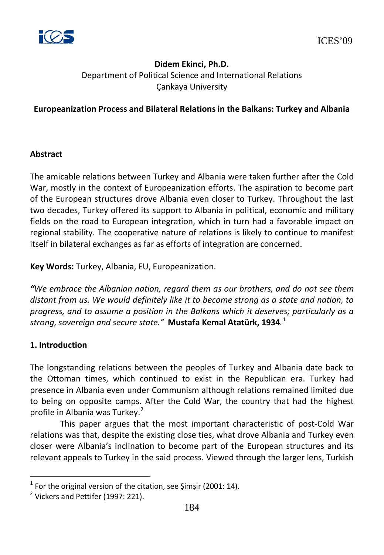

# **Didem Ekinci, Ph.D.** Department of Political Science and International Relations Çankaya University

### **Europeanization Process and Bilateral Relations in the Balkans: Turkey and Albania**

#### **Abstract**

The amicable relations between Turkey and Albania were taken further after the Cold War, mostly in the context of Europeanization efforts. The aspiration to become part of the European structures drove Albania even closer to Turkey. Throughout the last two decades, Turkey offered its support to Albania in political, economic and military fields on the road to European integration, which in turn had a favorable impact on regional stability. The cooperative nature of relations is likely to continue to manifest itself in bilateral exchanges as far as efforts of integration are concerned.

**Key Words:** Turkey, Albania, EU, Europeanization.

*"We embrace the Albanian nation, regard them as our brothers, and do not see them distant from us. We would definitely like it to become strong as a state and nation, to progress, and to assume a position in the Balkans which it deserves; particularly as a strong, sovereign and secure state."* **Mustafa Kemal Atatürk, 1934***.* [1](#page-191-0)

### **1. Introduction**

The longstanding relations between the peoples of Turkey and Albania date back to the Ottoman times, which continued to exist in the Republican era. Turkey had presence in Albania even under Communism although relations remained limited due to being on opposite camps. After the Cold War, the country that had the highest profile in Albania was Turkey.<sup>[2](#page-191-1)</sup>

This paper argues that the most important characteristic of post-Cold War relations was that, despite the existing close ties, what drove Albania and Turkey even closer were Albania's inclination to become part of the European structures and its relevant appeals to Turkey in the said process. Viewed through the larger lens, Turkish

 $1$  For the original version of the citation, see Şimşir (2001: 14).

 $2$  Vickers and Pettifer (1997: 221).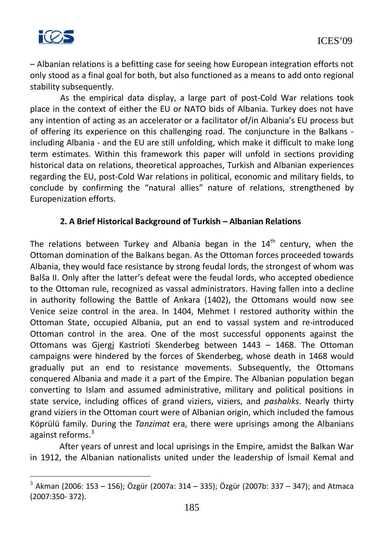

– Albanian relations is a befitting case for seeing how European integration efforts not only stood as a final goal for both, but also functioned as a means to add onto regional stability subsequently.

As the empirical data display, a large part of post-Cold War relations took place in the context of either the EU or NATO bids of Albania. Turkey does not have any intention of acting as an accelerator or a facilitator of/in Albania's EU process but of offering its experience on this challenging road. The conjuncture in the Balkans including Albania - and the EU are still unfolding, which make it difficult to make long term estimates. Within this framework this paper will unfold in sections providing historical data on relations, theoretical approaches, Turkish and Albanian experiences regarding the EU, post-Cold War relations in political, economic and military fields, to conclude by confirming the "natural allies" nature of relations, strengthened by Europenization efforts.

## **2. A Brief Historical Background of Turkish – Albanian Relations**

The relations between Turkey and Albania began in the  $14<sup>th</sup>$  century, when the Ottoman domination of the Balkans began. As the Ottoman forces proceeded towards Albania, they would face resistance by strong feudal lords, the strongest of whom was Balša II. Only after the latter's defeat were the feudal lords, who accepted obedience to the Ottoman rule, recognized as vassal administrators. Having fallen into a decline in authority following the Battle of Ankara (1402), the Ottomans would now see Venice seize control in the area. In 1404, Mehmet I restored authority within the Ottoman State, occupied Albania, put an end to vassal system and re-introduced Ottoman control in the area. One of the most successful opponents against the Ottomans was Gjergj Kastrioti Skenderbeg between 1443 – 1468. The Ottoman campaigns were hindered by the forces of Skenderbeg, whose death in 1468 would gradually put an end to resistance movements. Subsequently, the Ottomans conquered Albania and made it a part of the Empire. The Albanian population began converting to Islam and assumed administrative, military and political positions in state service, including offices of grand viziers, viziers, and *pashalıks*. Nearly thirty grand viziers in the Ottoman court were of Albanian origin, which included the famous Köprülü family. During the *Tanzimat* era, there were uprisings among the Albanians against reforms.<sup>[3](#page-192-0)</sup>

After years of unrest and local uprisings in the Empire, amidst the Balkan War in 1912, the Albanian nationalists united under the leadership of İsmail Kemal and

 $3$  Akman (2006: 153 – 156); Özgür (2007a: 314 – 335); Özgür (2007b: 337 – 347); and Atmaca (2007:350- 372).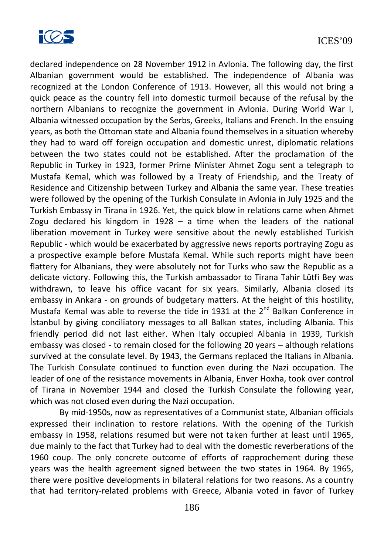

declared independence on 28 November 1912 in Avlonia. The following day, the first Albanian government would be established. The independence of Albania was recognized at the London Conference of 1913. However, all this would not bring a quick peace as the country fell into domestic turmoil because of the refusal by the northern Albanians to recognize the government in Avlonia. During World War I, Albania witnessed occupation by the Serbs, Greeks, Italians and French. In the ensuing years, as both the Ottoman state and Albania found themselves in a situation whereby they had to ward off foreign occupation and domestic unrest, diplomatic relations between the two states could not be established. After the proclamation of the Republic in Turkey in 1923, former Prime Minister Ahmet Zogu sent a telegraph to Mustafa Kemal, which was followed by a Treaty of Friendship, and the Treaty of Residence and Citizenship between Turkey and Albania the same year. These treaties were followed by the opening of the Turkish Consulate in Avlonia in July 1925 and the Turkish Embassy in Tirana in 1926. Yet, the quick blow in relations came when Ahmet Zogu declared his kingdom in 1928 – a time when the leaders of the national liberation movement in Turkey were sensitive about the newly established Turkish Republic - which would be exacerbated by aggressive news reports portraying Zogu as a prospective example before Mustafa Kemal. While such reports might have been flattery for Albanians, they were absolutely not for Turks who saw the Republic as a delicate victory. Following this, the Turkish ambassador to Tirana Tahir Lütfi Bey was withdrawn, to leave his office vacant for six years. Similarly, Albania closed its embassy in Ankara - on grounds of budgetary matters. At the height of this hostility, Mustafa Kemal was able to reverse the tide in 1931 at the  $2^{nd}$  Balkan Conference in İstanbul by giving conciliatory messages to all Balkan states, including Albania. This friendly period did not last either. When Italy occupied Albania in 1939, Turkish embassy was closed - to remain closed for the following 20 years – although relations survived at the consulate level. By 1943, the Germans replaced the Italians in Albania. The Turkish Consulate continued to function even during the Nazi occupation. The leader of one of the resistance movements in Albania, Enver Hoxha, took over control of Tirana in November 1944 and closed the Turkish Consulate the following year, which was not closed even during the Nazi occupation.

By mid-1950s, now as representatives of a Communist state, Albanian officials expressed their inclination to restore relations. With the opening of the Turkish embassy in 1958, relations resumed but were not taken further at least until 1965, due mainly to the fact that Turkey had to deal with the domestic reverberations of the 1960 coup. The only concrete outcome of efforts of rapprochement during these years was the health agreement signed between the two states in 1964. By 1965, there were positive developments in bilateral relations for two reasons. As a country that had territory-related problems with Greece, Albania voted in favor of Turkey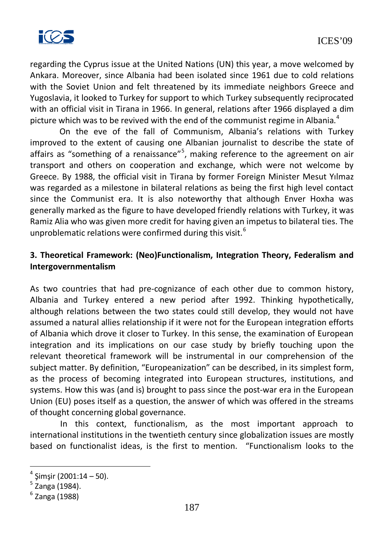

regarding the Cyprus issue at the United Nations (UN) this year, a move welcomed by Ankara. Moreover, since Albania had been isolated since 1961 due to cold relations with the Soviet Union and felt threatened by its immediate neighbors Greece and Yugoslavia, it looked to Turkey for support to which Turkey subsequently reciprocated with an official visit in Tirana in 1966. In general, relations after 1966 displayed a dim picture which was to be revived with the end of the communist regime in Albania. $4$ 

On the eve of the fall of Communism, Albania's relations with Turkey improved to the extent of causing one Albanian journalist to describe the state of affairs as "something of a renaissance"<sup>[5](#page-194-1)</sup>, making reference to the agreement on air transport and others on cooperation and exchange, which were not welcome by Greece. By 1988, the official visit in Tirana by former Foreign Minister Mesut Yılmaz was regarded as a milestone in bilateral relations as being the first high level contact since the Communist era. It is also noteworthy that although Enver Hoxha was generally marked as the figure to have developed friendly relations with Turkey, it was Ramiz Alia who was given more credit for having given an impetus to bilateral ties. The unproblematic relations were confirmed during this visit.<sup>[6](#page-194-2)</sup>

## **3. Theoretical Framework: (Neo)Functionalism, Integration Theory, Federalism and Intergovernmentalism**

As two countries that had pre-cognizance of each other due to common history, Albania and Turkey entered a new period after 1992. Thinking hypothetically, although relations between the two states could still develop, they would not have assumed a natural allies relationship if it were not for the European integration efforts of Albania which drove it closer to Turkey. In this sense, the examination of European integration and its implications on our case study by briefly touching upon the relevant theoretical framework will be instrumental in our comprehension of the subject matter. By definition, "Europeanization" can be described, in its simplest form, as the process of becoming integrated into European structures, institutions, and systems. How this was (and is) brought to pass since the post-war era in the European Union (EU) poses itself as a question, the answer of which was offered in the streams of thought concerning global governance.

In this context, functionalism, as the most important approach to international institutions in the twentieth century since globalization issues are mostly based on functionalist ideas, is the first to mention. "Functionalism looks to the

<sup>4</sup> Şimşir (2001:14 – 50). 5 Zanga (1984).

 $<sup>6</sup>$  Zanga (1988)</sup>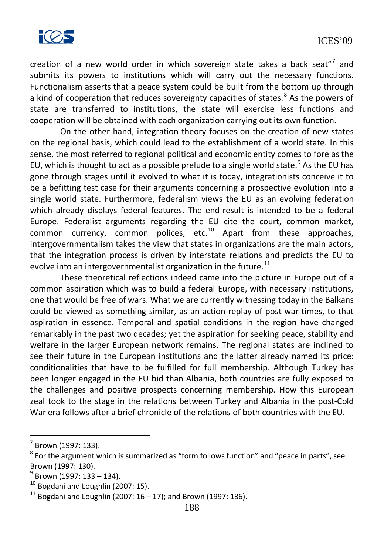

creation of a new world order in which sovereign state takes a back seat"<sup>[7](#page-195-0)</sup> and submits its powers to institutions which will carry out the necessary functions. Functionalism asserts that a peace system could be built from the bottom up through a kind of cooperation that reduces sovereignty capacities of states.<sup>[8](#page-195-1)</sup> As the powers of state are transferred to institutions, the state will exercise less functions and cooperation will be obtained with each organization carrying out its own function.

On the other hand, integration theory focuses on the creation of new states on the regional basis, which could lead to the establishment of a world state. In this sense, the most referred to regional political and economic entity comes to fore as the EU, which is thought to act as a possible prelude to a single world state. $9$  As the EU has gone through stages until it evolved to what it is today, integrationists conceive it to be a befitting test case for their arguments concerning a prospective evolution into a single world state. Furthermore, federalism views the EU as an evolving federation which already displays federal features. The end-result is intended to be a federal Europe. Federalist arguments regarding the EU cite the court, common market, common currency, common polices, etc.<sup>[10](#page-195-3)</sup> Apart from these approaches, intergovernmentalism takes the view that states in organizations are the main actors, that the integration process is driven by interstate relations and predicts the EU to evolve into an intergovernmentalist organization in the future. $11$ 

These theoretical reflections indeed came into the picture in Europe out of a common aspiration which was to build a federal Europe, with necessary institutions, one that would be free of wars. What we are currently witnessing today in the Balkans could be viewed as something similar, as an action replay of post-war times, to that aspiration in essence. Temporal and spatial conditions in the region have changed remarkably in the past two decades; yet the aspiration for seeking peace, stability and welfare in the larger European network remains. The regional states are inclined to see their future in the European institutions and the latter already named its price: conditionalities that have to be fulfilled for full membership. Although Turkey has been longer engaged in the EU bid than Albania, both countries are fully exposed to the challenges and positive prospects concerning membership. How this European zeal took to the stage in the relations between Turkey and Albania in the post-Cold War era follows after a brief chronicle of the relations of both countries with the EU.

Brown (1997: 133).

 $8$  For the argument which is summarized as "form follows function" and "peace in parts", see Brown (1997: 130).

<sup>9</sup> Brown (1997: 133 – 134).

 $10$  Bogdani and Loughlin (2007: 15).

 $11$  Bogdani and Loughlin (2007:  $16 - 17$ ); and Brown (1997: 136).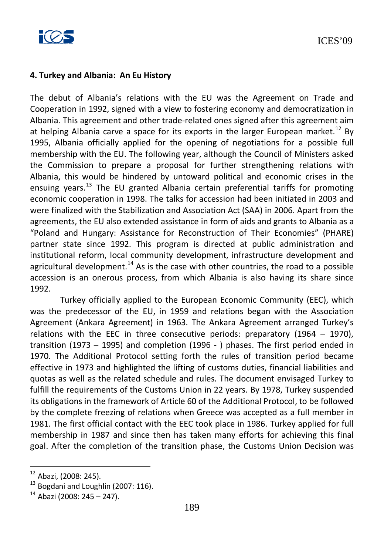

#### **4. Turkey and Albania: An Eu History**

The debut of Albania's relations with the EU was the Agreement on Trade and Cooperation in 1992, signed with a view to fostering economy and democratization in Albania. This agreement and other trade-related ones signed after this agreement aim at helping Albania carve a space for its exports in the larger European market.<sup>[12](#page-196-0)</sup> By 1995, Albania officially applied for the opening of negotiations for a possible full membership with the EU. The following year, although the Council of Ministers asked the Commission to prepare a proposal for further strengthening relations with Albania, this would be hindered by untoward political and economic crises in the ensuing years.<sup>[13](#page-196-1)</sup> The EU granted Albania certain preferential tariffs for promoting economic cooperation in 1998. The talks for accession had been initiated in 2003 and were finalized with the Stabilization and Association Act (SAA) in 2006. Apart from the agreements, the EU also extended assistance in form of aids and grants to Albania as a "Poland and Hungary: Assistance for Reconstruction of Their Economies" (PHARE) partner state since 1992. This program is directed at public administration and institutional reform, local community development, infrastructure development and agricultural development.<sup>[14](#page-196-2)</sup> As is the case with other countries, the road to a possible accession is an onerous process, from which Albania is also having its share since 1992.

Turkey officially applied to the European Economic Community (EEC), which was the predecessor of the EU, in 1959 and relations began with the Association Agreement (Ankara Agreement) in 1963. The Ankara Agreement arranged Turkey's relations with the EEC in three consecutive periods: preparatory  $(1964 - 1970)$ , transition (1973 – 1995) and completion (1996 - ) phases. The first period ended in 1970. The Additional Protocol setting forth the rules of transition period became effective in 1973 and highlighted the lifting of customs duties, financial liabilities and quotas as well as the related schedule and rules. The document envisaged Turkey to fulfill the requirements of the Customs Union in 22 years. By 1978, Turkey suspended its obligations in the framework of Article 60 of the Additional Protocol, to be followed by the complete freezing of relations when Greece was accepted as a full member in 1981. The first official contact with the EEC took place in 1986. Turkey applied for full membership in 1987 and since then has taken many efforts for achieving this final goal. After the completion of the transition phase, the Customs Union Decision was

<sup>12</sup> Abazi, (2008: 245).

 $13$  Bogdani and Loughlin (2007: 116).

 $14$  Abazi (2008: 245 – 247).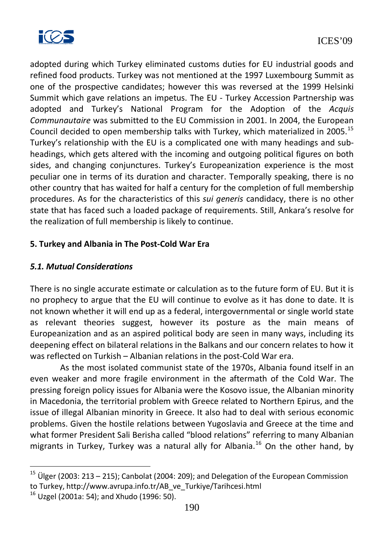

adopted during which Turkey eliminated customs duties for EU industrial goods and refined food products. Turkey was not mentioned at the 1997 Luxembourg Summit as one of the prospective candidates; however this was reversed at the 1999 Helsinki Summit which gave relations an impetus. The EU - Turkey Accession Partnership was adopted and Turkey's National Program for the Adoption of the *Acquis Communautaire* was submitted to the EU Commission in 2001. In 2004, the European Council decided to open membership talks with Turkey, which materialized in 2005.<sup>[15](#page-197-0)</sup> Turkey's relationship with the EU is a complicated one with many headings and subheadings, which gets altered with the incoming and outgoing political figures on both sides, and changing conjunctures. Turkey's Europeanization experience is the most peculiar one in terms of its duration and character. Temporally speaking, there is no other country that has waited for half a century for the completion of full membership procedures. As for the characteristics of this *sui generis* candidacy, there is no other state that has faced such a loaded package of requirements. Still, Ankara's resolve for the realization of full membership is likely to continue.

### **5. Turkey and Albania in The Post-Cold War Era**

### *5.1. Mutual Considerations*

There is no single accurate estimate or calculation as to the future form of EU. But it is no prophecy to argue that the EU will continue to evolve as it has done to date. It is not known whether it will end up as a federal, intergovernmental or single world state as relevant theories suggest, however its posture as the main means of Europeanization and as an aspired political body are seen in many ways, including its deepening effect on bilateral relations in the Balkans and our concern relates to how it was reflected on Turkish – Albanian relations in the post-Cold War era.

As the most isolated communist state of the 1970s, Albania found itself in an even weaker and more fragile environment in the aftermath of the Cold War. The pressing foreign policy issues for Albania were the Kosovo issue, the Albanian minority in Macedonia, the territorial problem with Greece related to Northern Epirus, and the issue of illegal Albanian minority in Greece. It also had to deal with serious economic problems. Given the hostile relations between Yugoslavia and Greece at the time and what former President Sali Berisha called "blood relations" referring to many Albanian migrants in Turkey, Turkey was a natural ally for Albania.<sup>[16](#page-197-1)</sup> On the other hand, by

Ülger (2003: 213 – 215); Canbolat (2004: 209); and Delegation of the European Commission to Turkey, [http://www.avrupa.info.tr/AB\\_ve\\_Turkiye/Tarihcesi.html](http://www.avrupa.info.tr/AB_ve_Turkiye/Tarihcesi.html)

 $16$  Uzgel (2001a: 54); and Xhudo (1996: 50).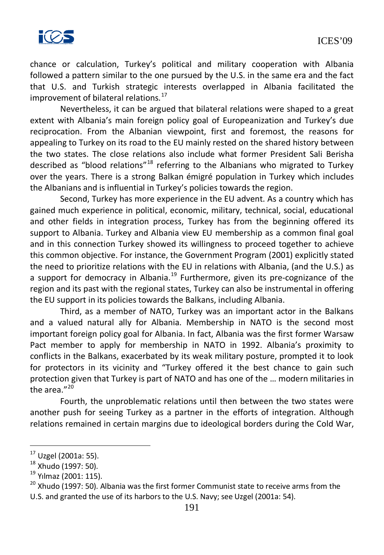

chance or calculation, Turkey's political and military cooperation with Albania followed a pattern similar to the one pursued by the U.S. in the same era and the fact that U.S. and Turkish strategic interests overlapped in Albania facilitated the improvement of bilateral relations. $17$ 

Nevertheless, it can be argued that bilateral relations were shaped to a great extent with Albania's main foreign policy goal of Europeanization and Turkey's due reciprocation. From the Albanian viewpoint, first and foremost, the reasons for appealing to Turkey on its road to the EU mainly rested on the shared history between the two states. The close relations also include what former President Sali Berisha described as "blood relations"<sup>[18](#page-198-1)</sup> referring to the Albanians who migrated to Turkey over the years. There is a strong Balkan émigré population in Turkey which includes the Albanians and is influential in Turkey's policies towards the region.

Second, Turkey has more experience in the EU advent. As a country which has gained much experience in political, economic, military, technical, social, educational and other fields in integration process, Turkey has from the beginning offered its support to Albania. Turkey and Albania view EU membership as a common final goal and in this connection Turkey showed its willingness to proceed together to achieve this common objective. For instance, the Government Program (2001) explicitly stated the need to prioritize relations with the EU in relations with Albania, (and the U.S.) as a support for democracy in Albania.<sup>[19](#page-198-2)</sup> Furthermore, given its pre-cognizance of the region and its past with the regional states, Turkey can also be instrumental in offering the EU support in its policies towards the Balkans, including Albania.

Third, as a member of NATO, Turkey was an important actor in the Balkans and a valued natural ally for Albania. Membership in NATO is the second most important foreign policy goal for Albania. In fact, Albania was the first former Warsaw Pact member to apply for membership in NATO in 1992. Albania's proximity to conflicts in the Balkans, exacerbated by its weak military posture, prompted it to look for protectors in its vicinity and "Turkey offered it the best chance to gain such protection given that Turkey is part of NATO and has one of the … modern militaries in the area."<sup>[20](#page-198-3)</sup>

Fourth, the unproblematic relations until then between the two states were another push for seeing Turkey as a partner in the efforts of integration. Although relations remained in certain margins due to ideological borders during the Cold War,

<sup>17</sup> Uzgel (2001a: 55).

 $^{18}$  Xhudo (1997: 50).<br> $^{19}$  Yılmaz (2001: 115).

<sup>&</sup>lt;sup>20</sup> Xhudo (1997: 50). Albania was the first former Communist state to receive arms from the U.S. and granted the use of its harbors to the U.S. Navy; see Uzgel (2001a: 54).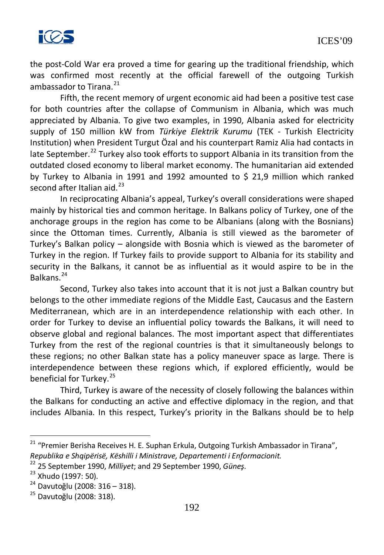

the post-Cold War era proved a time for gearing up the traditional friendship, which was confirmed most recently at the official farewell of the outgoing Turkish ambassador to Tirana. $^{21}$  $^{21}$  $^{21}$ 

Fifth, the recent memory of urgent economic aid had been a positive test case for both countries after the collapse of Communism in Albania, which was much appreciated by Albania. To give two examples, in 1990, Albania asked for electricity supply of 150 million kW from *Türkiye Elektrik Kurumu* (TEK - Turkish Electricity Institution) when President Turgut Özal and his counterpart Ramiz Alia had contacts in late September.<sup>[22](#page-199-1)</sup> Turkey also took efforts to support Albania in its transition from the outdated closed economy to liberal market economy. The humanitarian aid extended by Turkey to Albania in 1991 and 1992 amounted to \$ 21,9 million which ranked second after Italian aid. $^{23}$  $^{23}$  $^{23}$ 

In reciprocating Albania's appeal, Turkey's overall considerations were shaped mainly by historical ties and common heritage. In Balkans policy of Turkey, one of the anchorage groups in the region has come to be Albanians (along with the Bosnians) since the Ottoman times. Currently, Albania is still viewed as the barometer of Turkey's Balkan policy – alongside with Bosnia which is viewed as the barometer of Turkey in the region. If Turkey fails to provide support to Albania for its stability and security in the Balkans, it cannot be as influential as it would aspire to be in the Balkans.[24](#page-199-3)

Second, Turkey also takes into account that it is not just a Balkan country but belongs to the other immediate regions of the Middle East, Caucasus and the Eastern Mediterranean, which are in an interdependence relationship with each other. In order for Turkey to devise an influential policy towards the Balkans, it will need to observe global and regional balances. The most important aspect that differentiates Turkey from the rest of the regional countries is that it simultaneously belongs to these regions; no other Balkan state has a policy maneuver space as large. There is interdependence between these regions which, if explored efficiently, would be beneficial for Turkey.<sup>[25](#page-199-4)</sup>

Third, Turkey is aware of the necessity of closely following the balances within the Balkans for conducting an active and effective diplomacy in the region, and that includes Albania. In this respect, Turkey's priority in the Balkans should be to help

<sup>&</sup>lt;sup>21</sup> "Premier Berisha Receives H. E. Suphan Erkula, Outgoing Turkish Ambassador in Tirana", *Republika e Shqipërisë, Këshilli i Ministrave, Departementi i Enformacionit.*

<sup>22</sup> 25 September 1990, *Milliyet*; and 29 September 1990, *Güneş*. <sup>23</sup> Xhudo (1997: 50).

<sup>24</sup> Davutoğlu (2008: 316 – 318).

<sup>25</sup> Davutoğlu (2008: 318).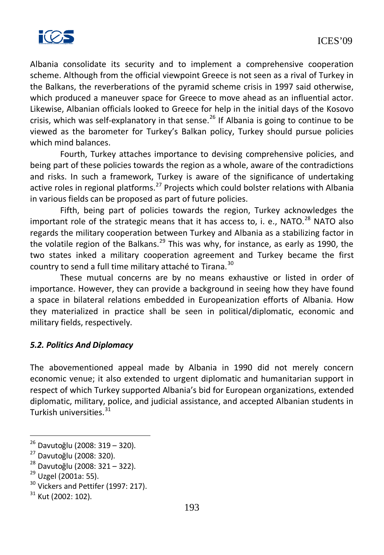

Albania consolidate its security and to implement a comprehensive cooperation scheme. Although from the official viewpoint Greece is not seen as a rival of Turkey in the Balkans, the reverberations of the pyramid scheme crisis in 1997 said otherwise, which produced a maneuver space for Greece to move ahead as an influential actor. Likewise, Albanian officials looked to Greece for help in the initial days of the Kosovo crisis, which was self-explanatory in that sense. $^{26}$  $^{26}$  $^{26}$  If Albania is going to continue to be viewed as the barometer for Turkey's Balkan policy, Turkey should pursue policies which mind balances.

Fourth, Turkey attaches importance to devising comprehensive policies, and being part of these policies towards the region as a whole, aware of the contradictions and risks. In such a framework, Turkey is aware of the significance of undertaking active roles in regional platforms.<sup>[27](#page-200-1)</sup> Projects which could bolster relations with Albania in various fields can be proposed as part of future policies.

Fifth, being part of policies towards the region, Turkey acknowledges the important role of the strategic means that it has access to, i. e., NATO. $^{28}$  $^{28}$  $^{28}$  NATO also regards the military cooperation between Turkey and Albania as a stabilizing factor in the volatile region of the Balkans.<sup>[29](#page-200-3)</sup> This was why, for instance, as early as 1990, the two states inked a military cooperation agreement and Turkey became the first country to send a full time military attaché to Tirana.<sup>[30](#page-200-4)</sup>

These mutual concerns are by no means exhaustive or listed in order of importance. However, they can provide a background in seeing how they have found a space in bilateral relations embedded in Europeanization efforts of Albania. How they materialized in practice shall be seen in political/diplomatic, economic and military fields, respectively.

### *5.2. Politics And Diplomacy*

The abovementioned appeal made by Albania in 1990 did not merely concern economic venue; it also extended to urgent diplomatic and humanitarian support in respect of which Turkey supported Albania's bid for European organizations, extended diplomatic, military, police, and judicial assistance, and accepted Albanian students in Turkish universities.<sup>[31](#page-200-5)</sup>

<sup>26</sup> Davutoğlu (2008: 319 – 320).

<sup>27</sup> Davutoğlu (2008: 320).

<sup>&</sup>lt;sup>28</sup> Davutoğlu (2008: 321 – 322).<br><sup>29</sup> Uzgel (2001a: 55).

<sup>&</sup>lt;sup>30</sup> Vickers and Pettifer (1997: 217).

 $31$  Kut (2002: 102).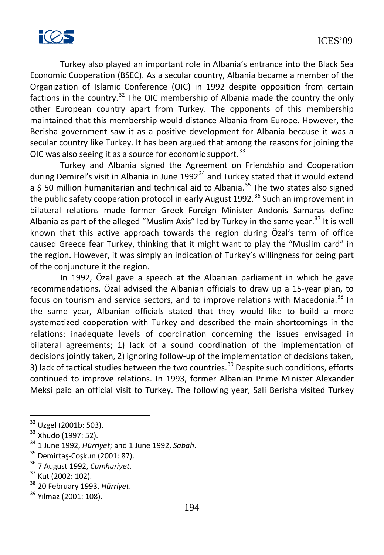

Turkey also played an important role in Albania's entrance into the Black Sea Economic Cooperation (BSEC). As a secular country, Albania became a member of the Organization of Islamic Conference (OIC) in 1992 despite opposition from certain factions in the country.<sup>[32](#page-201-0)</sup> The OIC membership of Albania made the country the only other European country apart from Turkey. The opponents of this membership maintained that this membership would distance Albania from Europe. However, the Berisha government saw it as a positive development for Albania because it was a secular country like Turkey. It has been argued that among the reasons for joining the OIC was also seeing it as a source for economic support.<sup>[33](#page-201-1)</sup>

Turkey and Albania signed the Agreement on Friendship and Cooperation during Demirel's visit in Albania in June  $1992^{34}$  $1992^{34}$  $1992^{34}$  and Turkey stated that it would extend a \$ 50 million humanitarian and technical aid to Albania.<sup>[35](#page-201-3)</sup> The two states also signed the public safety cooperation protocol in early August 1992.<sup>[36](#page-201-4)</sup> Such an improvement in bilateral relations made former Greek Foreign Minister Andonis Samaras define Albania as part of the alleged "Muslim Axis" led by Turkey in the same year.<sup>[37](#page-201-5)</sup> It is well known that this active approach towards the region during Özal's term of office caused Greece fear Turkey, thinking that it might want to play the "Muslim card" in the region. However, it was simply an indication of Turkey's willingness for being part of the conjuncture it the region.

In 1992, Özal gave a speech at the Albanian parliament in which he gave recommendations. Özal advised the Albanian officials to draw up a 15-year plan, to focus on tourism and service sectors, and to improve relations with Macedonia.<sup>[38](#page-201-6)</sup> In the same year, Albanian officials stated that they would like to build a more systematized cooperation with Turkey and described the main shortcomings in the relations: inadequate levels of coordination concerning the issues envisaged in bilateral agreements; 1) lack of a sound coordination of the implementation of decisions jointly taken, 2) ignoring follow-up of the implementation of decisions taken, 3) lack of tactical studies between the two countries.<sup>[39](#page-201-7)</sup> Despite such conditions, efforts continued to improve relations. In 1993, former Albanian Prime Minister Alexander Meksi paid an official visit to Turkey. The following year, Sali Berisha visited Turkey

<sup>32</sup> Uzgel (2001b: 503).

<sup>33</sup> Xhudo (1997: 52).

<sup>34</sup> 1 June 1992, *Hürriyet*; and 1 June 1992, *Sabah*.

<sup>35</sup> Demirtaş-Coşkun (2001: 87).

<sup>36</sup> 7 August 1992, *Cumhuriyet*. <sup>37</sup> Kut (2002: 102).

<sup>38</sup> 20 February 1993, *Hürriyet*.

<sup>&</sup>lt;sup>39</sup> Yılmaz (2001: 108).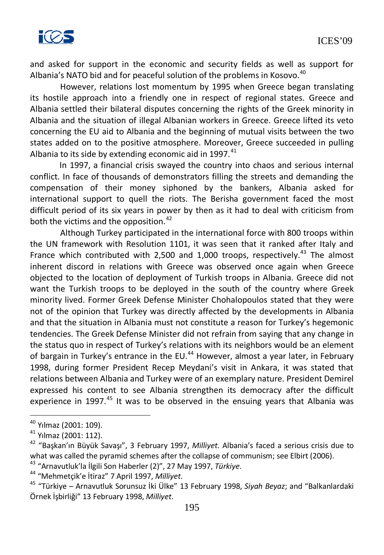

and asked for support in the economic and security fields as well as support for Albania's NATO bid and for peaceful solution of the problems in Kosovo.<sup>[40](#page-202-0)</sup>

However, relations lost momentum by 1995 when Greece began translating its hostile approach into a friendly one in respect of regional states. Greece and Albania settled their bilateral disputes concerning the rights of the Greek minority in Albania and the situation of illegal Albanian workers in Greece. Greece lifted its veto concerning the EU aid to Albania and the beginning of mutual visits between the two states added on to the positive atmosphere. Moreover, Greece succeeded in pulling Albania to its side by extending economic aid in 1997. $41$ 

In 1997, a financial crisis swayed the country into chaos and serious internal conflict. In face of thousands of demonstrators filling the streets and demanding the compensation of their money siphoned by the bankers, Albania asked for international support to quell the riots. The Berisha government faced the most difficult period of its six years in power by then as it had to deal with criticism from both the victims and the opposition.<sup>[42](#page-202-2)</sup>

Although Turkey participated in the international force with 800 troops within the UN framework with Resolution 1101, it was seen that it ranked after Italy and France which contributed with 2,500 and 1,000 troops, respectively.<sup>[43](#page-202-3)</sup> The almost inherent discord in relations with Greece was observed once again when Greece objected to the location of deployment of Turkish troops in Albania. Greece did not want the Turkish troops to be deployed in the south of the country where Greek minority lived. Former Greek Defense Minister Chohalopoulos stated that they were not of the opinion that Turkey was directly affected by the developments in Albania and that the situation in Albania must not constitute a reason for Turkey's hegemonic tendencies. The Greek Defense Minister did not refrain from saying that any change in the status quo in respect of Turkey's relations with its neighbors would be an element of bargain in Turkey's entrance in the EU. $44$  However, almost a year later, in February 1998, during former President Recep Meydani's visit in Ankara, it was stated that relations between Albania and Turkey were of an exemplary nature. President Demirel expressed his content to see Albania strengthen its democracy after the difficult experience in 1997. $45$  It was to be observed in the ensuing years that Albania was

 $40$  Yılmaz (2001: 109).

<sup>41</sup> Yılmaz (2001: 112).

<sup>42</sup> "Başkan'ın Büyük Savaşı", 3 February 1997, *Milliyet*. Albania's faced a serious crisis due to what was called the pyramid schemes after the collapse of communism; see Elbirt (2006).

<sup>43</sup> "Arnavutluk'la İlgili Son Haberler (2)", 27 May 1997, *Türkiye*. <sup>44</sup> "Mehmetçik'e İtiraz" 7 April 1997, *Milliyet*.

<sup>45</sup> "Türkiye – Arnavutluk Sorunsuz İki Ülke" 13 February 1998, *Siyah Beyaz*; and "Balkanlardaki Örnek İşbirliği" 13 February 1998, *Milliyet*.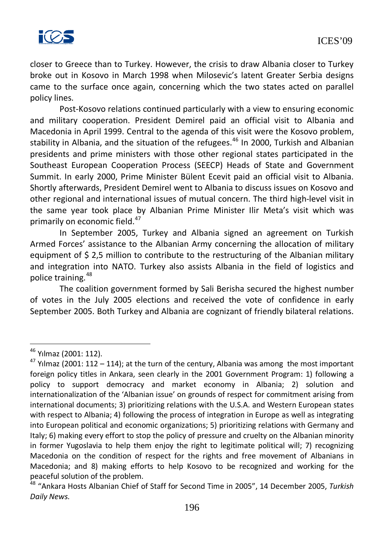

closer to Greece than to Turkey. However, the crisis to draw Albania closer to Turkey broke out in Kosovo in March 1998 when Milosevic's latent Greater Serbia designs came to the surface once again, concerning which the two states acted on parallel policy lines.

Post-Kosovo relations continued particularly with a view to ensuring economic and military cooperation. President Demirel paid an official visit to Albania and Macedonia in April 1999. Central to the agenda of this visit were the Kosovo problem, stability in Albania, and the situation of the refugees.<sup>[46](#page-203-0)</sup> In 2000, Turkish and Albanian presidents and prime ministers with those other regional states participated in the Southeast European Cooperation Process (SEECP) Heads of State and Government Summit. In early 2000, Prime Minister Bülent Ecevit paid an official visit to Albania. Shortly afterwards, President Demirel went to Albania to discuss issues on Kosovo and other regional and international issues of mutual concern. The third high-level visit in the same year took place by Albanian Prime Minister Ilir Meta's visit which was primarily on economic field.<sup>[47](#page-203-1)</sup>

In September 2005, Turkey and Albania signed an agreement on Turkish Armed Forces' assistance to the Albanian Army concerning the allocation of military equipment of \$ 2,5 million to contribute to the restructuring of the Albanian military and integration into NATO. Turkey also assists Albania in the field of logistics and police training.<sup>[48](#page-203-2)</sup>

The coalition government formed by Sali Berisha secured the highest number of votes in the July 2005 elections and received the vote of confidence in early September 2005. Both Turkey and Albania are cognizant of friendly bilateral relations.

<sup>46</sup> Yılmaz (2001: 112).

<sup>&</sup>lt;sup>47</sup> Yılmaz (2001: 112 – 114); at the turn of the century, Albania was among the most important foreign policy titles in Ankara, seen clearly in the 2001 Government Program: 1) following a policy to support democracy and market economy in Albania; 2) solution and internationalization of the 'Albanian issue' on grounds of respect for commitment arising from international documents; 3) prioritizing relations with the U.S.A. and Western European states with respect to Albania; 4) following the process of integration in Europe as well as integrating into European political and economic organizations; 5) prioritizing relations with Germany and Italy; 6) making every effort to stop the policy of pressure and cruelty on the Albanian minority in former Yugoslavia to help them enjoy the right to legitimate political will; 7) recognizing Macedonia on the condition of respect for the rights and free movement of Albanians in Macedonia; and 8) making efforts to help Kosovo to be recognized and working for the peaceful solution of the problem.

<sup>48</sup> "Ankara Hosts Albanian Chief of Staff for Second Time in 2005", 14 December 2005, *Turkish Daily News*.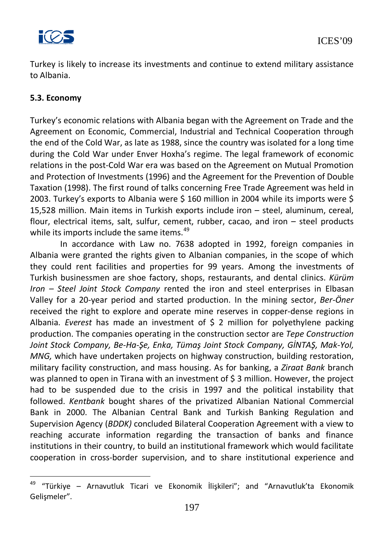

Turkey is likely to increase its investments and continue to extend military assistance to Albania.

### **5.3. Economy**

Turkey's economic relations with Albania began with the Agreement on Trade and the Agreement on Economic, Commercial, Industrial and Technical Cooperation through the end of the Cold War, as late as 1988, since the country was isolated for a long time during the Cold War under Enver Hoxha's regime. The legal framework of economic relations in the post-Cold War era was based on the Agreement on Mutual Promotion and Protection of Investments (1996) and the Agreement for the Prevention of Double Taxation (1998). The first round of talks concerning Free Trade Agreement was held in 2003. Turkey's exports to Albania were \$ 160 million in 2004 while its imports were \$ 15,528 million. Main items in Turkish exports include iron – steel, aluminum, cereal, flour, electrical items, salt, sulfur, cement, rubber, cacao, and iron – steel products while its imports include the same items.<sup>[49](#page-204-0)</sup>

In accordance with Law no. 7638 adopted in 1992, foreign companies in Albania were granted the rights given to Albanian companies, in the scope of which they could rent facilities and properties for 99 years. Among the investments of Turkish businessmen are shoe factory, shops, restaurants, and dental clinics. *Kürüm Iron – Steel Joint Stock Company* rented the iron and steel enterprises in Elbasan Valley for a 20-year period and started production. In the mining sector, *Ber-Öner* received the right to explore and operate mine reserves in copper-dense regions in Albania. *Everest* has made an investment of \$ 2 million for polyethylene packing production. The companies operating in the construction sector are *Tepe Construction Joint Stock Company, Be-Ha-Şe, Enka, Tümaş Joint Stock Company, GİNTAŞ, Mak-Yol, MNG,* which have undertaken projects on highway construction, building restoration, military facility construction, and mass housing. As for banking, a *Ziraat Bank* branch was planned to open in Tirana with an investment of \$3 million. However, the project had to be suspended due to the crisis in 1997 and the political instability that followed. *Kentbank* bought shares of the privatized Albanian National Commercial Bank in 2000. The Albanian Central Bank and Turkish Banking Regulation and Supervision Agency (*BDDK)* concluded Bilateral Cooperation Agreement with a view to reaching accurate information regarding the transaction of banks and finance institutions in their country, to build an institutional framework which would facilitate cooperation in cross-border supervision, and to share institutional experience and

<sup>49</sup> "Türkiye – Arnavutluk Ticari ve Ekonomik İlişkileri"; and "Arnavutluk'ta Ekonomik Gelişmeler".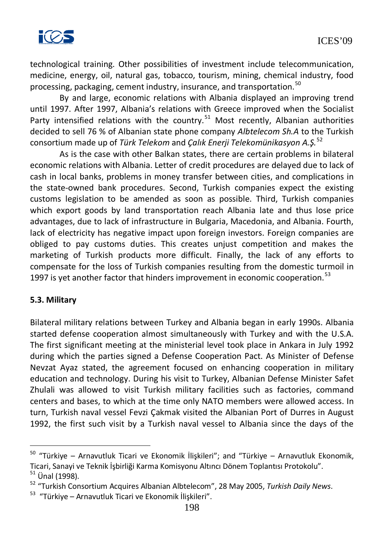

technological training. Other possibilities of investment include telecommunication, medicine, energy, oil, natural gas, tobacco, tourism, mining, chemical industry, food processing, packaging, cement industry, insurance, and transportation.<sup>[50](#page-205-0)</sup>

By and large, economic relations with Albania displayed an improving trend until 1997. After 1997, Albania's relations with Greece improved when the Socialist Party intensified relations with the country.<sup>[51](#page-205-1)</sup> Most recently, Albanian authorities decided to sell 76 % of Albanian state phone company *Albtelecom Sh.A* to the Turkish consortium made up of *Türk Telekom* and *Çalık Enerji Telekomünikasyon A.Ş.*[52](#page-205-2)

As is the case with other Balkan states, there are certain problems in bilateral economic relations with Albania. Letter of credit procedures are delayed due to lack of cash in local banks, problems in money transfer between cities, and complications in the state-owned bank procedures. Second, Turkish companies expect the existing customs legislation to be amended as soon as possible. Third, Turkish companies which export goods by land transportation reach Albania late and thus lose price advantages, due to lack of infrastructure in Bulgaria, Macedonia, and Albania. Fourth, lack of electricity has negative impact upon foreign investors. Foreign companies are obliged to pay customs duties. This creates unjust competition and makes the marketing of Turkish products more difficult. Finally, the lack of any efforts to compensate for the loss of Turkish companies resulting from the domestic turmoil in 1997 is yet another factor that hinders improvement in economic cooperation.<sup>[53](#page-205-3)</sup>

#### **5.3. Military**

Bilateral military relations between Turkey and Albania began in early 1990s. Albania started defense cooperation almost simultaneously with Turkey and with the U.S.A. The first significant meeting at the ministerial level took place in Ankara in July 1992 during which the parties signed a Defense Cooperation Pact. As Minister of Defense Nevzat Ayaz stated, the agreement focused on enhancing cooperation in military education and technology. During his visit to Turkey, Albanian Defense Minister Safet Zhulali was allowed to visit Turkish military facilities such as factories, command centers and bases, to which at the time only NATO members were allowed access. In turn, Turkish naval vessel Fevzi Çakmak visited the Albanian Port of Durres in August 1992, the first such visit by a Turkish naval vessel to Albania since the days of the

 $50$  "Türkiye – Arnavutluk Ticari ve Ekonomik İlişkileri"; and "Türkiye – Arnavutluk Ekonomik, Ticari, Sanayi ve Teknik İşbirliği Karma Komisyonu Altıncı Dönem Toplantısı Protokolu".

 $51$  Ünal (1998).

<sup>52</sup> "Turkish Consortium Acquires Albanian Albtelecom", 28 May 2005, *Turkish Daily News*.

<sup>53 &</sup>quot;Türkiye – Arnavutluk Ticari ve Ekonomik İlişkileri".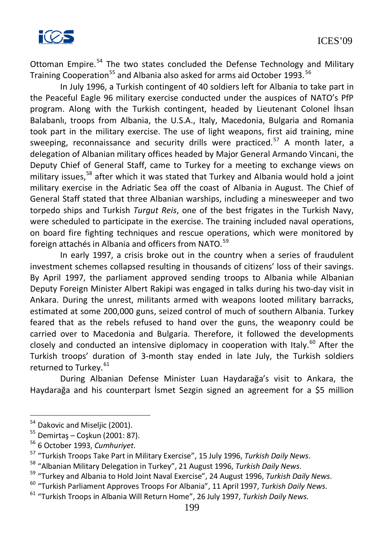

Ottoman Empire.<sup>[54](#page-206-0)</sup> The two states concluded the Defense Technology and Military Training Cooperation<sup>[55](#page-206-1)</sup> and Albania also asked for arms aid October 1993.<sup>[56](#page-206-2)</sup>

In July 1996, a Turkish contingent of 40 soldiers left for Albania to take part in the Peaceful Eagle 96 military exercise conducted under the auspices of NATO's PfP program. Along with the Turkish contingent, headed by Lieutenant Colonel İhsan Balabanlı, troops from Albania, the U.S.A., Italy, Macedonia, Bulgaria and Romania took part in the military exercise. The use of light weapons, first aid training, mine sweeping, reconnaissance and security drills were practiced.<sup>[57](#page-206-3)</sup> A month later, a delegation of Albanian military offices headed by Major General Armando Vincani, the Deputy Chief of General Staff, came to Turkey for a meeting to exchange views on military issues,<sup>[58](#page-206-4)</sup> after which it was stated that Turkey and Albania would hold a joint military exercise in the Adriatic Sea off the coast of Albania in August. The Chief of General Staff stated that three Albanian warships, including a minesweeper and two torpedo ships and Turkish *Turgut Reis*, one of the best frigates in the Turkish Navy, were scheduled to participate in the exercise. The training included naval operations, on board fire fighting techniques and rescue operations, which were monitored by foreign attachés in Albania and officers from NATO.<sup>[59](#page-206-5)</sup>

In early 1997, a crisis broke out in the country when a series of fraudulent investment schemes collapsed resulting in thousands of citizens' loss of their savings. By April 1997, the parliament approved sending troops to Albania while Albanian Deputy Foreign Minister Albert Rakipi was engaged in talks during his two-day visit in Ankara. During the unrest, militants armed with weapons looted military barracks, estimated at some 200,000 guns, seized control of much of southern Albania. Turkey feared that as the rebels refused to hand over the guns, the weaponry could be carried over to Macedonia and Bulgaria. Therefore, it followed the developments closely and conducted an intensive diplomacy in cooperation with Italy. $^{60}$  $^{60}$  $^{60}$  After the Turkish troops' duration of 3-month stay ended in late July, the Turkish soldiers returned to Turkey.<sup>[61](#page-206-7)</sup>

During Albanian Defense Minister Luan Haydarağa's visit to Ankara, the Haydarağa and his counterpart İsmet Sezgin signed an agreement for a \$5 million

<sup>&</sup>lt;sup>54</sup> Dakovic and Miseljic (2001).

<sup>55</sup> Demirtaş – Coşkun (2001: 87).

<sup>56</sup> 6 October 1993, *Cumhuriyet*.

<sup>57</sup> "Turkish Troops Take Part in Military Exercise", 15 July 1996, *Turkish Daily News*.

<sup>&</sup>lt;sup>58</sup> "Albanian Military Delegation in Turkey", 21 August 1996, *Turkish Daily News*.<br><sup>59</sup> "Turkey and Albania to Hold Joint Naval Exercise", 24 August 1996, *Turkish Daily News*.

<sup>60</sup> "Turkish Parliament Approves Troops For Albania", 11 April 1997, *Turkish Daily News*.

<sup>61</sup> "Turkish Troops in Albania Will Return Home", 26 July 1997, *Turkish Daily News*.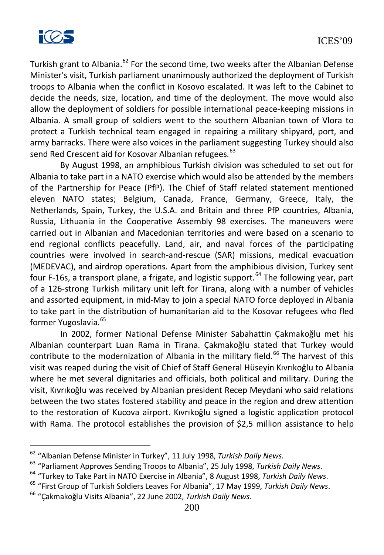

Turkish grant to Albania.<sup>[62](#page-207-0)</sup> For the second time, two weeks after the Albanian Defense Minister's visit, Turkish parliament unanimously authorized the deployment of Turkish troops to Albania when the conflict in Kosovo escalated. It was left to the Cabinet to decide the needs, size, location, and time of the deployment. The move would also allow the deployment of soldiers for possible international peace-keeping missions in Albania. A small group of soldiers went to the southern Albanian town of Vlora to protect a Turkish technical team engaged in repairing a military shipyard, port, and army barracks. There were also voices in the parliament suggesting Turkey should also send Red Crescent aid for Kosovar Albanian refugees.<sup>[63](#page-207-1)</sup>

By August 1998, an amphibious Turkish division was scheduled to set out for Albania to take part in a NATO exercise which would also be attended by the members of the Partnership for Peace (PfP). The Chief of Staff related statement mentioned eleven NATO states; Belgium, Canada, France, Germany, Greece, Italy, the Netherlands, Spain, Turkey, the U.S.A. and Britain and three PfP countries, Albania, Russia, Lithuania in the Cooperative Assembly 98 exercises. The maneuvers were carried out in Albanian and Macedonian territories and were based on a scenario to end regional conflicts peacefully. Land, air, and naval forces of the participating countries were involved in search-and-rescue (SAR) missions, medical evacuation (MEDEVAC), and airdrop operations. Apart from the amphibious division, Turkey sent four F-16s, a transport plane, a frigate, and logistic support.<sup>[64](#page-207-2)</sup> The following year, part of a 126-strong Turkish military unit left for Tirana, along with a number of vehicles and assorted equipment, in mid-May to join a special NATO force deployed in Albania to take part in the distribution of humanitarian aid to the Kosovar refugees who fled former Yugoslavia.<sup>[65](#page-207-3)</sup>

In 2002, former National Defense Minister Sabahattin Çakmakoğlu met his Albanian counterpart Luan Rama in Tirana. Çakmakoğlu stated that Turkey would contribute to the modernization of Albania in the military field.<sup>[66](#page-207-4)</sup> The harvest of this visit was reaped during the visit of Chief of Staff General Hüseyin Kıvrıkoğlu to Albania where he met several dignitaries and officials, both political and military. During the visit, Kıvrıkoğlu was received by Albanian president Recep Meydani who said relations between the two states fostered stability and peace in the region and drew attention to the restoration of Kucova airport. Kıvrıkoğlu signed a logistic application protocol with Rama. The protocol establishes the provision of \$2,5 million assistance to help

<sup>62</sup> "Albanian Defense Minister in Turkey", 11 July 1998, *Turkish Daily News*.

<sup>&</sup>lt;sup>63</sup> "Parliament Approves Sending Troops to Albania", 25 July 1998, *Turkish Daily News.*<br><sup>64</sup> "Turkey to Take Part in NATO Exercise in Albania", 8 August 1998, *Turkish Daily News*.

<sup>65</sup> "First Group of Turkish Soldiers Leaves For Albania", 17 May 1999, *Turkish Daily News*.

<sup>66</sup> "Çakmakoğlu Visits Albania", 22 June 2002, *Turkish Daily News*.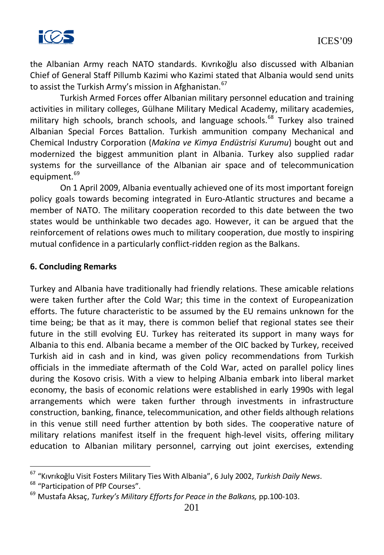

the Albanian Army reach NATO standards. Kıvrıkoğlu also discussed with Albanian Chief of General Staff Pillumb Kazimi who Kazimi stated that Albania would send units to assist the Turkish Army's mission in Afghanistan.<sup>[67](#page-208-0)</sup>

Turkish Armed Forces offer Albanian military personnel education and training activities in military colleges, Gülhane Military Medical Academy, military academies, military high schools, branch schools, and language schools.<sup>[68](#page-208-1)</sup> Turkey also trained Albanian Special Forces Battalion. Turkish ammunition company Mechanical and Chemical Industry Corporation (*Makina ve Kimya Endüstrisi Kurumu*) bought out and modernized the biggest ammunition plant in Albania. Turkey also supplied radar systems for the surveillance of the Albanian air space and of telecommunication equipment.<sup>[69](#page-208-2)</sup>

On 1 April 2009, Albania eventually achieved one of its most important foreign policy goals towards becoming integrated in Euro-Atlantic structures and became a member of NATO. The military cooperation recorded to this date between the two states would be unthinkable two decades ago. However, it can be argued that the reinforcement of relations owes much to military cooperation, due mostly to inspiring mutual confidence in a particularly conflict-ridden region as the Balkans.

#### **6. Concluding Remarks**

Turkey and Albania have traditionally had friendly relations. These amicable relations were taken further after the Cold War; this time in the context of Europeanization efforts. The future characteristic to be assumed by the EU remains unknown for the time being; be that as it may, there is common belief that regional states see their future in the still evolving EU. Turkey has reiterated its support in many ways for Albania to this end. Albania became a member of the OIC backed by Turkey, received Turkish aid in cash and in kind, was given policy recommendations from Turkish officials in the immediate aftermath of the Cold War, acted on parallel policy lines during the Kosovo crisis. With a view to helping Albania embark into liberal market economy, the basis of economic relations were established in early 1990s with legal arrangements which were taken further through investments in infrastructure construction, banking, finance, telecommunication, and other fields although relations in this venue still need further attention by both sides. The cooperative nature of military relations manifest itself in the frequent high-level visits, offering military education to Albanian military personnel, carrying out joint exercises, extending

<sup>67</sup> "Kıvrıkoğlu Visit Fosters Military Ties With Albania", 6 July 2002, *Turkish Daily News*.

<sup>&</sup>lt;sup>68</sup> "Participation of PfP Courses".

<sup>69</sup> Mustafa Aksaç, *Turkey's Military Efforts for Peace in the Balkans,* pp.100-103.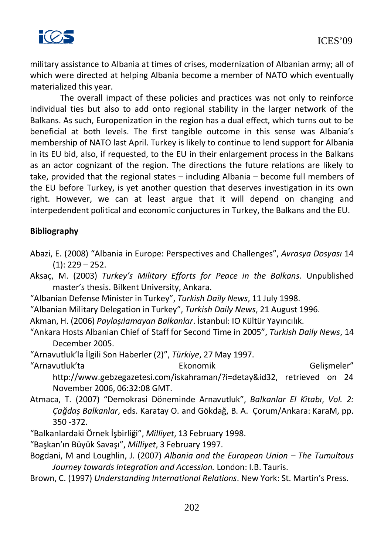

military assistance to Albania at times of crises, modernization of Albanian army; all of which were directed at helping Albania become a member of NATO which eventually materialized this year.

The overall impact of these policies and practices was not only to reinforce individual ties but also to add onto regional stability in the larger network of the Balkans. As such, Europenization in the region has a dual effect, which turns out to be beneficial at both levels. The first tangible outcome in this sense was Albania's membership of NATO last April. Turkey is likely to continue to lend support for Albania in its EU bid, also, if requested, to the EU in their enlargement process in the Balkans as an actor cognizant of the region. The directions the future relations are likely to take, provided that the regional states – including Albania – become full members of the EU before Turkey, is yet another question that deserves investigation in its own right. However, we can at least argue that it will depend on changing and interpedendent political and economic conjuctures in Turkey, the Balkans and the EU.

## **Bibliography**

- Abazi, E. (2008) "Albania in Europe: Perspectives and Challenges", *Avrasya Dosyası* 14  $(1): 229 - 252.$
- Aksaç, M. (2003) *Turkey's Military Efforts for Peace in the Balkans*. Unpublished master's thesis. Bilkent University, Ankara.
- "Albanian Defense Minister in Turkey", *Turkish Daily News*, 11 July 1998.
- "Albanian Military Delegation in Turkey", *Turkish Daily News*, 21 August 1996.
- Akman, H. (2006) *Paylaşılamayan Balkanlar*. İstanbul: IO Kültür Yayıncılık.
- "Ankara Hosts Albanian Chief of Staff for Second Time in 2005", *Turkish Daily News*, 14 December 2005.
- "Arnavutluk'la İlgili Son Haberler (2)", *Türkiye*, 27 May 1997.
- "Arnavutluk'ta Ekonomik Gelişmeler"
- 

- [http://www.gebzegazetesi.com/iskahraman/?i=detay&id32,](http://www.gebzegazetesi.com/iskahraman/?i=detay&id32) retrieved on 24 November 2006, 06:32:08 GMT.
- Atmaca, T. (2007) "Demokrasi Döneminde Arnavutluk", *Balkanlar El Kitabı*, *Vol. 2: Çağdaş Balkanlar*, eds. Karatay O. and Gökdağ, B. A. Çorum/Ankara: KaraM, pp. 350 -372.
- "Balkanlardaki Örnek İşbirliği", *Milliyet*, 13 February 1998.
- "Başkan'ın Büyük Savaşı", *Milliyet*, 3 February 1997.
- Bogdani, M and Loughlin, J. (2007) *Albania and the European Union – The Tumultous Journey towards Integration and Accession.* London: I.B. Tauris.
- Brown, C. (1997) *Understanding International Relations*. New York: St. Martin's Press.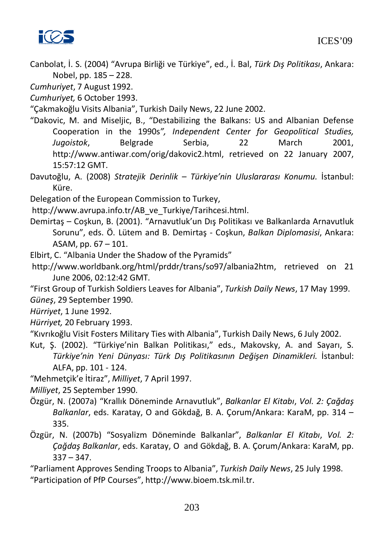

Canbolat, İ. S. (2004) "Avrupa Birliği ve Türkiye", ed., İ. Bal, *Türk Dış Politikası*, Ankara: Nobel, pp. 185 – 228.

*Cumhuriyet*, 7 August 1992.

*Cumhuriyet,* 6 October 1993.

"Çakmakoğlu Visits Albania", Turkish Daily News, 22 June 2002.

"Dakovic, M. and Miseljic, B., "Destabilizing the Balkans: US and Albanian Defense Cooperation in the 1990s*", Independent Center for Geopolitical Studies, Jugoistok*, Belgrade Serbia, 22 March 2001, [http://www.antiwar.com/orig/dakovic2.html,](http://www.antiwar.com/orig/dakovic2.html) retrieved on 22 January 2007, 15:57:12 GMT.

Davutoğlu, A. (2008) *Stratejik Derinlik – Türkiye'nin Uluslararası Konumu.* İstanbul: Küre.

Delegation of the European Commission to Turkey,

[http://www.avrupa.info.tr/AB\\_ve\\_Turkiye/Tarihcesi.html.](http://www.avrupa.info.tr/AB_ve_Turkiye/Tarihcesi.html)

- Demirtaş Coşkun, B. (2001). "Arnavutluk'un Dış Politikası ve Balkanlarda Arnavutluk Sorunu", eds. Ö. Lütem and B. Demirtaş - Coşkun, *Balkan Diplomasisi*, Ankara: ASAM, pp. 67 – 101.
- Elbirt, C. "Albania Under the Shadow of the Pyramids"

[http://www.worldbank.org/html/prddr/trans/so97/albania2htm,](http://www.worldbank.org/html/prddr/trans/so97/albania2htm) retrieved on 21 June 2006, 02:12:42 GMT.

"First Group of Turkish Soldiers Leaves for Albania", *Turkish Daily News*, 17 May 1999. *Güneş*, 29 September 1990.

*Hürriyet*, 1 June 1992.

*Hürriyet,* 20 February 1993.

"Kıvrıkoğlu Visit Fosters Military Ties with Albania", Turkish Daily News, 6 July 2002.

Kut, Ş. (2002). "Türkiye'nin Balkan Politikası," eds., Makovsky, A. and Sayarı, S. *Türkiye'nin Yeni Dünyası: Türk Dış Politikasının Değişen Dinamikleri.* İstanbul: ALFA, pp. 101 - 124.

"Mehmetçik'e İtiraz", *Milliyet*, 7 April 1997.

- *Milliyet*, 25 September 1990.
- Özgür, N. (2007a) "Krallık Döneminde Arnavutluk", *Balkanlar El Kitabı*, *Vol. 2: Çağdaş Balkanlar*, eds. Karatay, O and Gökdağ, B. A. Çorum/Ankara: KaraM, pp. 314 – 335.
- Özgür, N. (2007b) "Sosyalizm Döneminde Balkanlar", *Balkanlar El Kitabı*, *Vol. 2: Çağdaş Balkanlar*, eds. Karatay, O and Gökdağ, B. A. Çorum/Ankara: KaraM, pp.  $337 - 347.$

"Parliament Approves Sending Troops to Albania", *Turkish Daily News*, 25 July 1998. "Participation of PfP Courses", [http://www.bioem.tsk.mil.tr.](http://www.bioem.tsk.mil.tr/)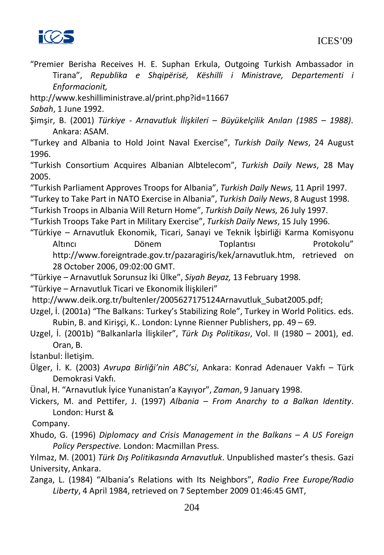

"Premier Berisha Receives H. E. Suphan Erkula, Outgoing Turkish Ambassador in Tirana", *Republika e Shqipërisë, Këshilli i Ministrave, Departementi i Enformacionit,* 

<http://www.keshilliministrave.al/print.php?id=11667>

*Sabah*, 1 June 1992.

Şimşir, B. (2001) *Türkiye - Arnavutluk İlişkileri – Büyükelçilik Anıları (1985 – 1988)*. Ankara: ASAM.

"Turkey and Albania to Hold Joint Naval Exercise", *Turkish Daily News*, 24 August 1996.

"Turkish Consortium Acquires Albanian Albtelecom", *Turkish Daily News*, 28 May 2005.

"Turkish Parliament Approves Troops for Albania", *Turkish Daily News,* 11 April 1997.

"Turkey to Take Part in NATO Exercise in Albania", *Turkish Daily News*, 8 August 1998.

"Turkish Troops in Albania Will Return Home", *Turkish Daily News,* 26 July 1997.

"Turkish Troops Take Part in Military Exercise", *Turkish Daily News*, 15 July 1996.

"Türkiye – Arnavutluk Ekonomik, Ticari, Sanayi ve Teknik İşbirliği Karma Komisyonu Altıncı Dönem Toplantısı Protokolu" [http://www.foreigntrade.gov.tr/pazaragiris/kek/arnavutluk.htm,](http://www.foreigntrade.gov.tr/pazaragiris/kek/arnavutluk.htm) retrieved on 28 October 2006, 09:02:00 GMT.

"Türkiye – Arnavutluk Sorunsuz İki Ülke", *Siyah Beyaz,* 13 February 1998.

"Türkiye – Arnavutluk Ticari ve Ekonomik İlişkileri"

[http://www.deik.org.tr/bultenler/2005627175124Arnavutluk\\_Subat2005.pdf;](http://www.deik.org.tr/bultenler/2005627175124Arnavutluk_Subat2005.pdf)

Uzgel, İ. (2001a) "The Balkans: Turkey's Stabilizing Role", Turkey in World Politics. eds. Rubin, B. and Kirişçi, K.. London: Lynne Rienner Publishers, pp. 49 – 69.

Uzgel, İ. (2001b) "Balkanlarla İlişkiler", *Türk Dış Politikası*, Vol. II (1980 – 2001), ed. Oran, B.

İstanbul: İletişim.

Ülger, İ. K. (2003) *Avrupa Birliği'nin ABC'si*, Ankara: Konrad Adenauer Vakfı – Türk Demokrasi Vakfı.

Ünal, H. "Arnavutluk İyice Yunanistan'a Kayıyor", *Zaman*, 9 January 1998.

Vickers, M. and Pettifer, J. (1997) *Albania – From Anarchy to a Balkan Identity*. London: Hurst &

Company.

Xhudo, G. (1996) *Diplomacy and Crisis Management in the Balkans – A US Foreign Policy Perspective.* London: Macmillan Press.

Yılmaz, M. (2001) *Türk Dış Politikasında Arnavutluk*. Unpublished master's thesis. Gazi University, Ankara.

Zanga, L. (1984) "Albania's Relations with Its Neighbors", *Radio Free Europe/Radio Liberty*, 4 April 1984, retrieved on 7 September 2009 01:46:45 GMT,